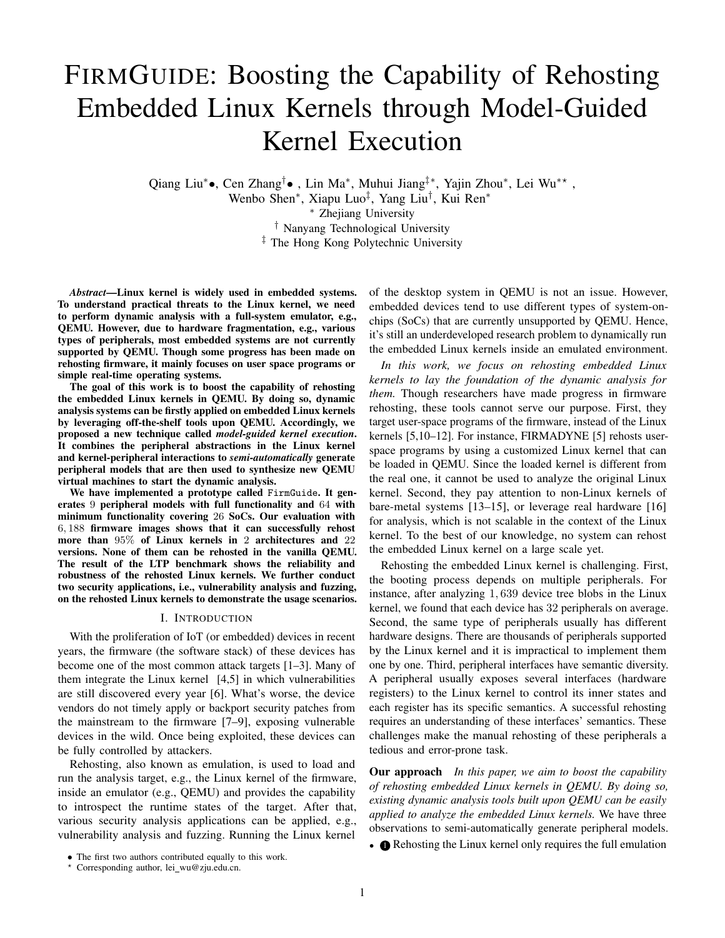# FIRMGUIDE: Boosting the Capability of Rehosting Embedded Linux Kernels through Model-Guided Kernel Execution

Qiang Liu<sup>\*</sup>•, Cen Zhang<sup>†</sup>•, Lin Ma<sup>\*</sup>, Muhui Jiang<sup>‡\*</sup>, Yajin Zhou\*, Lei Wu<sup>\*\*</sup>, Wenbo Shen<sup>∗</sup>, Xiapu Luo<sup>‡</sup>, Yang Liu<sup>†</sup>, Kui Ren<sup>∗</sup>

<sup>∗</sup> Zhejiang University

† Nanyang Technological University ‡ The Hong Kong Polytechnic University

*Abstract*—Linux kernel is widely used in embedded systems. To understand practical threats to the Linux kernel, we need to perform dynamic analysis with a full-system emulator, e.g., QEMU. However, due to hardware fragmentation, e.g., various types of peripherals, most embedded systems are not currently supported by QEMU. Though some progress has been made on rehosting firmware, it mainly focuses on user space programs or simple real-time operating systems.

The goal of this work is to boost the capability of rehosting the embedded Linux kernels in QEMU. By doing so, dynamic analysis systems can be firstly applied on embedded Linux kernels by leveraging off-the-shelf tools upon QEMU. Accordingly, we proposed a new technique called *model-guided kernel execution*. It combines the peripheral abstractions in the Linux kernel and kernel-peripheral interactions to *semi-automatically* generate peripheral models that are then used to synthesize new QEMU virtual machines to start the dynamic analysis.

We have implemented a prototype called FirmGuide. It generates 9 peripheral models with full functionality and 64 with minimum functionality covering 26 SoCs. Our evaluation with 6, 188 firmware images shows that it can successfully rehost more than 95% of Linux kernels in 2 architectures and 22 versions. None of them can be rehosted in the vanilla QEMU. The result of the LTP benchmark shows the reliability and robustness of the rehosted Linux kernels. We further conduct two security applications, i.e., vulnerability analysis and fuzzing, on the rehosted Linux kernels to demonstrate the usage scenarios.

#### I. INTRODUCTION

With the proliferation of IoT (or embedded) devices in recent years, the firmware (the software stack) of these devices has become one of the most common attack targets [1–3]. Many of them integrate the Linux kernel [4,5] in which vulnerabilities are still discovered every year [6]. What's worse, the device vendors do not timely apply or backport security patches from the mainstream to the firmware [7–9], exposing vulnerable devices in the wild. Once being exploited, these devices can be fully controlled by attackers.

Rehosting, also known as emulation, is used to load and run the analysis target, e.g., the Linux kernel of the firmware, inside an emulator (e.g., QEMU) and provides the capability to introspect the runtime states of the target. After that, various security analysis applications can be applied, e.g., vulnerability analysis and fuzzing. Running the Linux kernel

• The first two authors contributed equally to this work.  $*$  Corresponding outhor 1.

Corresponding author, lei\_wu@zju.edu.cn.

*In this work, we focus on rehosting embedded Linux kernels to lay the foundation of the dynamic analysis for them.* Though researchers have made progress in firmware rehosting, these tools cannot serve our purpose. First, they target user-space programs of the firmware, instead of the Linux kernels [5,10–12]. For instance, FIRMADYNE [5] rehosts userspace programs by using a customized Linux kernel that can be loaded in QEMU. Since the loaded kernel is different from the real one, it cannot be used to analyze the original Linux kernel. Second, they pay attention to non-Linux kernels of bare-metal systems [13–15], or leverage real hardware [16] for analysis, which is not scalable in the context of the Linux kernel. To the best of our knowledge, no system can rehost the embedded Linux kernel on a large scale yet.

Rehosting the embedded Linux kernel is challenging. First, the booting process depends on multiple peripherals. For instance, after analyzing 1, 639 device tree blobs in the Linux kernel, we found that each device has 32 peripherals on average. Second, the same type of peripherals usually has different hardware designs. There are thousands of peripherals supported by the Linux kernel and it is impractical to implement them one by one. Third, peripheral interfaces have semantic diversity. A peripheral usually exposes several interfaces (hardware registers) to the Linux kernel to control its inner states and each register has its specific semantics. A successful rehosting requires an understanding of these interfaces' semantics. These challenges make the manual rehosting of these peripherals a tedious and error-prone task.

Our approach *In this paper, we aim to boost the capability of rehosting embedded Linux kernels in QEMU. By doing so, existing dynamic analysis tools built upon QEMU can be easily applied to analyze the embedded Linux kernels.* We have three observations to semi-automatically generate peripheral models.

• **I** Rehosting the Linux kernel only requires the full emulation

of the desktop system in QEMU is not an issue. However, embedded devices tend to use different types of system-onchips (SoCs) that are currently unsupported by QEMU. Hence, it's still an underdeveloped research problem to dynamically run the embedded Linux kernels inside an emulated environment.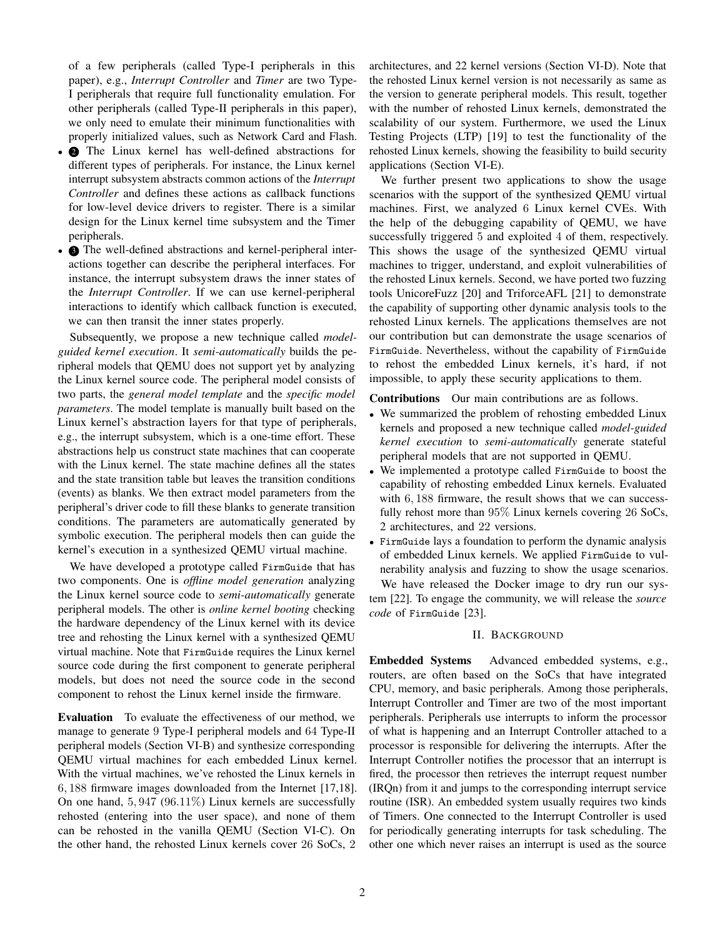of a few peripherals (called Type-I peripherals in this paper), e.g., *Interrupt Controller* and *Timer* are two Type-I peripherals that require full functionality emulation. For other peripherals (called Type-II peripherals in this paper), we only need to emulate their minimum functionalities with properly initialized values, such as Network Card and Flash.

- **•** The Linux kernel has well-defined abstractions for different types of peripherals. For instance, the Linux kernel interrupt subsystem abstracts common actions of the *Interrupt Controller* and defines these actions as callback functions for low-level device drivers to register. There is a similar design for the Linux kernel time subsystem and the Timer peripherals.
- **3** The well-defined abstractions and kernel-peripheral interactions together can describe the peripheral interfaces. For instance, the interrupt subsystem draws the inner states of the *Interrupt Controller*. If we can use kernel-peripheral interactions to identify which callback function is executed, we can then transit the inner states properly.

Subsequently, we propose a new technique called *modelguided kernel execution*. It *semi-automatically* builds the peripheral models that QEMU does not support yet by analyzing the Linux kernel source code. The peripheral model consists of two parts, the *general model template* and the *specific model parameters*. The model template is manually built based on the Linux kernel's abstraction layers for that type of peripherals, e.g., the interrupt subsystem, which is a one-time effort. These abstractions help us construct state machines that can cooperate with the Linux kernel. The state machine defines all the states and the state transition table but leaves the transition conditions (events) as blanks. We then extract model parameters from the peripheral's driver code to fill these blanks to generate transition conditions. The parameters are automatically generated by symbolic execution. The peripheral models then can guide the kernel's execution in a synthesized QEMU virtual machine.

We have developed a prototype called FirmGuide that has two components. One is *offline model generation* analyzing the Linux kernel source code to *semi-automatically* generate peripheral models. The other is *online kernel booting* checking the hardware dependency of the Linux kernel with its device tree and rehosting the Linux kernel with a synthesized QEMU virtual machine. Note that FirmGuide requires the Linux kernel source code during the first component to generate peripheral models, but does not need the source code in the second component to rehost the Linux kernel inside the firmware.

Evaluation To evaluate the effectiveness of our method, we manage to generate 9 Type-I peripheral models and 64 Type-II peripheral models (Section VI-B) and synthesize corresponding QEMU virtual machines for each embedded Linux kernel. With the virtual machines, we've rehosted the Linux kernels in 6, 188 firmware images downloaded from the Internet [17,18]. On one hand, 5, 947 (96.11%) Linux kernels are successfully rehosted (entering into the user space), and none of them can be rehosted in the vanilla QEMU (Section VI-C). On the other hand, the rehosted Linux kernels cover 26 SoCs, 2

architectures, and 22 kernel versions (Section VI-D). Note that the rehosted Linux kernel version is not necessarily as same as the version to generate peripheral models. This result, together with the number of rehosted Linux kernels, demonstrated the scalability of our system. Furthermore, we used the Linux Testing Projects (LTP) [19] to test the functionality of the rehosted Linux kernels, showing the feasibility to build security applications (Section VI-E).

We further present two applications to show the usage scenarios with the support of the synthesized QEMU virtual machines. First, we analyzed 6 Linux kernel CVEs. With the help of the debugging capability of QEMU, we have successfully triggered 5 and exploited 4 of them, respectively. This shows the usage of the synthesized QEMU virtual machines to trigger, understand, and exploit vulnerabilities of the rehosted Linux kernels. Second, we have ported two fuzzing tools UnicoreFuzz [20] and TriforceAFL [21] to demonstrate the capability of supporting other dynamic analysis tools to the rehosted Linux kernels. The applications themselves are not our contribution but can demonstrate the usage scenarios of FirmGuide. Nevertheless, without the capability of FirmGuide to rehost the embedded Linux kernels, it's hard, if not impossible, to apply these security applications to them.

Contributions Our main contributions are as follows.

- We summarized the problem of rehosting embedded Linux kernels and proposed a new technique called *model-guided kernel execution* to *semi-automatically* generate stateful peripheral models that are not supported in QEMU.
- We implemented a prototype called FirmGuide to boost the capability of rehosting embedded Linux kernels. Evaluated with  $6,188$  firmware, the result shows that we can successfully rehost more than 95% Linux kernels covering 26 SoCs, 2 architectures, and 22 versions.
- FirmGuide lays a foundation to perform the dynamic analysis of embedded Linux kernels. We applied FirmGuide to vulnerability analysis and fuzzing to show the usage scenarios. We have released the Docker image to dry run our system [22]. To engage the community, we will release the *source code* of FirmGuide [23].

## II. BACKGROUND

Embedded Systems Advanced embedded systems, e.g., routers, are often based on the SoCs that have integrated CPU, memory, and basic peripherals. Among those peripherals, Interrupt Controller and Timer are two of the most important peripherals. Peripherals use interrupts to inform the processor of what is happening and an Interrupt Controller attached to a processor is responsible for delivering the interrupts. After the Interrupt Controller notifies the processor that an interrupt is fired, the processor then retrieves the interrupt request number (IRQn) from it and jumps to the corresponding interrupt service routine (ISR). An embedded system usually requires two kinds of Timers. One connected to the Interrupt Controller is used for periodically generating interrupts for task scheduling. The other one which never raises an interrupt is used as the source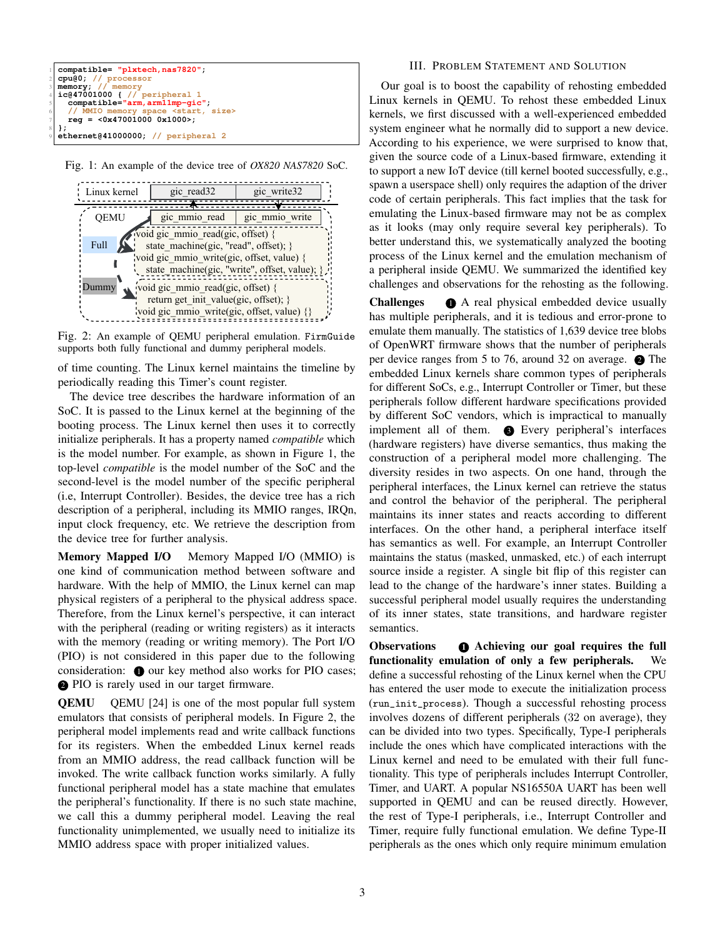```
1 compatible= "plxtech,nas7820";
2 cpu@0; // processor
3 memory; // memory
  4 ic@47001000 { // peripheral 1
    5 compatible="arm,arm11mp-gic";
        6 // MMIO memory space <start, size>
    7 reg = <0x47001000 0x1000>;
8 };
  9 ethernet@41000000; // peripheral 2
```
Fig. 1: An example of the device tree of *OX820 NAS7820* SoC.



Fig. 2: An example of QEMU peripheral emulation. FirmGuide supports both fully functional and dummy peripheral models.

of time counting. The Linux kernel maintains the timeline by periodically reading this Timer's count register.

The device tree describes the hardware information of an SoC. It is passed to the Linux kernel at the beginning of the booting process. The Linux kernel then uses it to correctly initialize peripherals. It has a property named *compatible* which is the model number. For example, as shown in Figure 1, the top-level *compatible* is the model number of the SoC and the second-level is the model number of the specific peripheral (i.e, Interrupt Controller). Besides, the device tree has a rich description of a peripheral, including its MMIO ranges, IRQn, input clock frequency, etc. We retrieve the description from the device tree for further analysis.

Memory Mapped I/O Memory Mapped I/O (MMIO) is one kind of communication method between software and hardware. With the help of MMIO, the Linux kernel can map physical registers of a peripheral to the physical address space. Therefore, from the Linux kernel's perspective, it can interact with the peripheral (reading or writing registers) as it interacts with the memory (reading or writing memory). The Port I/O (PIO) is not considered in this paper due to the following consideration:  $\bullet$  our key method also works for PIO cases; <sup>2</sup> PIO is rarely used in our target firmware.

QEMU QEMU [24] is one of the most popular full system emulators that consists of peripheral models. In Figure 2, the peripheral model implements read and write callback functions for its registers. When the embedded Linux kernel reads from an MMIO address, the read callback function will be invoked. The write callback function works similarly. A fully functional peripheral model has a state machine that emulates the peripheral's functionality. If there is no such state machine, we call this a dummy peripheral model. Leaving the real functionality unimplemented, we usually need to initialize its MMIO address space with proper initialized values.

## III. PROBLEM STATEMENT AND SOLUTION

Our goal is to boost the capability of rehosting embedded Linux kernels in QEMU. To rehost these embedded Linux kernels, we first discussed with a well-experienced embedded system engineer what he normally did to support a new device. According to his experience, we were surprised to know that, given the source code of a Linux-based firmware, extending it to support a new IoT device (till kernel booted successfully, e.g., spawn a userspace shell) only requires the adaption of the driver code of certain peripherals. This fact implies that the task for emulating the Linux-based firmware may not be as complex as it looks (may only require several key peripherals). To better understand this, we systematically analyzed the booting process of the Linux kernel and the emulation mechanism of a peripheral inside QEMU. We summarized the identified key challenges and observations for the rehosting as the following.

**Challenges**  $\bullet$  A real physical embedded device usually has multiple peripherals, and it is tedious and error-prone to emulate them manually. The statistics of 1,639 device tree blobs of OpenWRT firmware shows that the number of peripherals per device ranges from 5 to 76, around 32 on average.  $\bullet$  The embedded Linux kernels share common types of peripherals for different SoCs, e.g., Interrupt Controller or Timer, but these peripherals follow different hardware specifications provided by different SoC vendors, which is impractical to manually implement all of them.  $\bullet$  Every peripheral's interfaces (hardware registers) have diverse semantics, thus making the construction of a peripheral model more challenging. The diversity resides in two aspects. On one hand, through the peripheral interfaces, the Linux kernel can retrieve the status and control the behavior of the peripheral. The peripheral maintains its inner states and reacts according to different interfaces. On the other hand, a peripheral interface itself has semantics as well. For example, an Interrupt Controller maintains the status (masked, unmasked, etc.) of each interrupt source inside a register. A single bit flip of this register can lead to the change of the hardware's inner states. Building a successful peripheral model usually requires the understanding of its inner states, state transitions, and hardware register semantics.

Observations  $\bullet$  Achieving our goal requires the full functionality emulation of only a few peripherals. We define a successful rehosting of the Linux kernel when the CPU has entered the user mode to execute the initialization process (run\_init\_process). Though a successful rehosting process involves dozens of different peripherals (32 on average), they can be divided into two types. Specifically, Type-I peripherals include the ones which have complicated interactions with the Linux kernel and need to be emulated with their full functionality. This type of peripherals includes Interrupt Controller, Timer, and UART. A popular NS16550A UART has been well supported in QEMU and can be reused directly. However, the rest of Type-I peripherals, i.e., Interrupt Controller and Timer, require fully functional emulation. We define Type-II peripherals as the ones which only require minimum emulation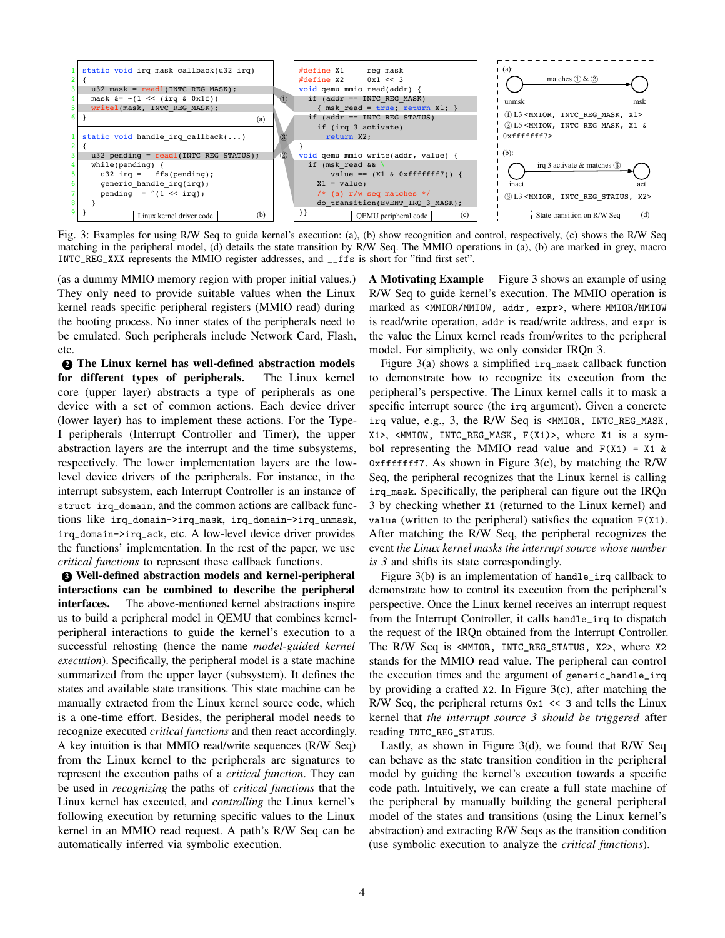

Fig. 3: Examples for using R/W Seq to guide kernel's execution: (a), (b) show recognition and control, respectively, (c) shows the R/W Seq matching in the peripheral model, (d) details the state transition by R/W Seq. The MMIO operations in (a), (b) are marked in grey, macro INTC\_REG\_XXX represents the MMIO register addresses, and \_\_ffs is short for "find first set".

(as a dummy MMIO memory region with proper initial values.) They only need to provide suitable values when the Linux kernel reads specific peripheral registers (MMIO read) during the booting process. No inner states of the peripherals need to be emulated. Such peripherals include Network Card, Flash, etc.

2 The Linux kernel has well-defined abstraction models for different types of peripherals. The Linux kernel core (upper layer) abstracts a type of peripherals as one device with a set of common actions. Each device driver (lower layer) has to implement these actions. For the Type-I peripherals (Interrupt Controller and Timer), the upper abstraction layers are the interrupt and the time subsystems, respectively. The lower implementation layers are the lowlevel device drivers of the peripherals. For instance, in the interrupt subsystem, each Interrupt Controller is an instance of struct irq\_domain, and the common actions are callback functions like irq\_domain->irq\_mask, irq\_domain->irq\_unmask, irq\_domain->irq\_ack, etc. A low-level device driver provides the functions' implementation. In the rest of the paper, we use *critical functions* to represent these callback functions.

3 Well-defined abstraction models and kernel-peripheral interactions can be combined to describe the peripheral interfaces. The above-mentioned kernel abstractions inspire us to build a peripheral model in QEMU that combines kernelperipheral interactions to guide the kernel's execution to a successful rehosting (hence the name *model-guided kernel execution*). Specifically, the peripheral model is a state machine summarized from the upper layer (subsystem). It defines the states and available state transitions. This state machine can be manually extracted from the Linux kernel source code, which is a one-time effort. Besides, the peripheral model needs to recognize executed *critical functions* and then react accordingly. A key intuition is that MMIO read/write sequences (R/W Seq) from the Linux kernel to the peripherals are signatures to represent the execution paths of a *critical function*. They can be used in *recognizing* the paths of *critical functions* that the Linux kernel has executed, and *controlling* the Linux kernel's following execution by returning specific values to the Linux kernel in an MMIO read request. A path's R/W Seq can be automatically inferred via symbolic execution.

A Motivating Example Figure 3 shows an example of using R/W Seq to guide kernel's execution. The MMIO operation is marked as <MMIOR/MMIOW, addr, expr>, where MMIOR/MMIOW is read/write operation, addr is read/write address, and expr is the value the Linux kernel reads from/writes to the peripheral model. For simplicity, we only consider IRQn 3.

Figure 3(a) shows a simplified irq\_mask callback function to demonstrate how to recognize its execution from the peripheral's perspective. The Linux kernel calls it to mask a specific interrupt source (the irq argument). Given a concrete irq value, e.g., 3, the R/W Seq is <MMIOR, INTC\_REG\_MASK, X1>, <MMIOW, INTC\_REG\_MASK, F(X1)>, where X1 is a symbol representing the MMIO read value and  $F(X1) = X1 \&$ 0xfffffff7. As shown in Figure 3(c), by matching the R/W Seq, the peripheral recognizes that the Linux kernel is calling irq\_mask. Specifically, the peripheral can figure out the IRQn 3 by checking whether X1 (returned to the Linux kernel) and value (written to the peripheral) satisfies the equation F(X1). After matching the R/W Seq, the peripheral recognizes the event *the Linux kernel masks the interrupt source whose number is 3* and shifts its state correspondingly.

Figure 3(b) is an implementation of handle\_irq callback to demonstrate how to control its execution from the peripheral's perspective. Once the Linux kernel receives an interrupt request from the Interrupt Controller, it calls handle\_irq to dispatch the request of the IRQn obtained from the Interrupt Controller. The R/W Seq is <MMIOR, INTC\_REG\_STATUS, X2>, where X2 stands for the MMIO read value. The peripheral can control the execution times and the argument of generic\_handle\_irq by providing a crafted X2. In Figure 3(c), after matching the R/W Seq, the peripheral returns  $0x1 \leq 3$  and tells the Linux kernel that *the interrupt source 3 should be triggered* after reading INTC\_REG\_STATUS.

Lastly, as shown in Figure 3(d), we found that R/W Seq can behave as the state transition condition in the peripheral model by guiding the kernel's execution towards a specific code path. Intuitively, we can create a full state machine of the peripheral by manually building the general peripheral model of the states and transitions (using the Linux kernel's abstraction) and extracting R/W Seqs as the transition condition (use symbolic execution to analyze the *critical functions*).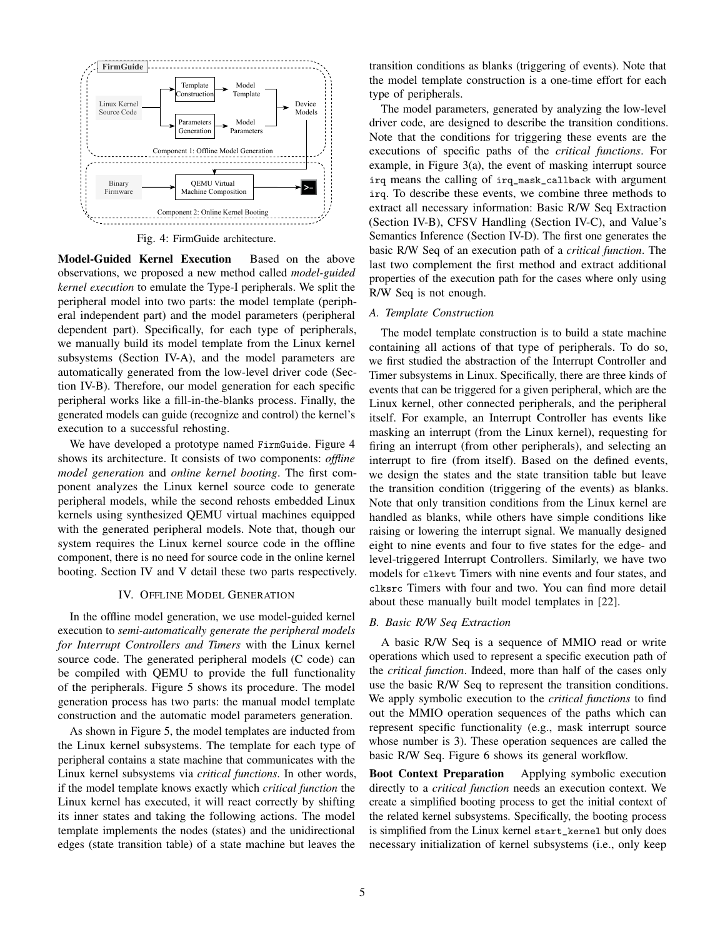

Fig. 4: FirmGuide architecture.

Model-Guided Kernel Execution Based on the above observations, we proposed a new method called *model-guided kernel execution* to emulate the Type-I peripherals. We split the peripheral model into two parts: the model template (peripheral independent part) and the model parameters (peripheral dependent part). Specifically, for each type of peripherals, we manually build its model template from the Linux kernel subsystems (Section IV-A), and the model parameters are automatically generated from the low-level driver code (Section IV-B). Therefore, our model generation for each specific peripheral works like a fill-in-the-blanks process. Finally, the generated models can guide (recognize and control) the kernel's execution to a successful rehosting.

We have developed a prototype named FirmGuide. Figure 4 shows its architecture. It consists of two components: *offline model generation* and *online kernel booting*. The first component analyzes the Linux kernel source code to generate peripheral models, while the second rehosts embedded Linux kernels using synthesized QEMU virtual machines equipped with the generated peripheral models. Note that, though our system requires the Linux kernel source code in the offline component, there is no need for source code in the online kernel booting. Section IV and V detail these two parts respectively.

## IV. OFFLINE MODEL GENERATION

In the offline model generation, we use model-guided kernel execution to *semi-automatically generate the peripheral models for Interrupt Controllers and Timers* with the Linux kernel source code. The generated peripheral models (C code) can be compiled with QEMU to provide the full functionality of the peripherals. Figure 5 shows its procedure. The model generation process has two parts: the manual model template construction and the automatic model parameters generation.

As shown in Figure 5, the model templates are inducted from the Linux kernel subsystems. The template for each type of peripheral contains a state machine that communicates with the Linux kernel subsystems via *critical functions*. In other words, if the model template knows exactly which *critical function* the Linux kernel has executed, it will react correctly by shifting its inner states and taking the following actions. The model template implements the nodes (states) and the unidirectional edges (state transition table) of a state machine but leaves the

transition conditions as blanks (triggering of events). Note that the model template construction is a one-time effort for each type of peripherals.

The model parameters, generated by analyzing the low-level driver code, are designed to describe the transition conditions. Note that the conditions for triggering these events are the executions of specific paths of the *critical functions*. For example, in Figure 3(a), the event of masking interrupt source irq means the calling of irq\_mask\_callback with argument irq. To describe these events, we combine three methods to extract all necessary information: Basic R/W Seq Extraction (Section IV-B), CFSV Handling (Section IV-C), and Value's Semantics Inference (Section IV-D). The first one generates the basic R/W Seq of an execution path of a *critical function*. The last two complement the first method and extract additional properties of the execution path for the cases where only using R/W Seq is not enough.

# *A. Template Construction*

The model template construction is to build a state machine containing all actions of that type of peripherals. To do so, we first studied the abstraction of the Interrupt Controller and Timer subsystems in Linux. Specifically, there are three kinds of events that can be triggered for a given peripheral, which are the Linux kernel, other connected peripherals, and the peripheral itself. For example, an Interrupt Controller has events like masking an interrupt (from the Linux kernel), requesting for firing an interrupt (from other peripherals), and selecting an interrupt to fire (from itself). Based on the defined events, we design the states and the state transition table but leave the transition condition (triggering of the events) as blanks. Note that only transition conditions from the Linux kernel are handled as blanks, while others have simple conditions like raising or lowering the interrupt signal. We manually designed eight to nine events and four to five states for the edge- and level-triggered Interrupt Controllers. Similarly, we have two models for clkevt Timers with nine events and four states, and clksrc Timers with four and two. You can find more detail about these manually built model templates in [22].

# *B. Basic R/W Seq Extraction*

A basic R/W Seq is a sequence of MMIO read or write operations which used to represent a specific execution path of the *critical function*. Indeed, more than half of the cases only use the basic R/W Seq to represent the transition conditions. We apply symbolic execution to the *critical functions* to find out the MMIO operation sequences of the paths which can represent specific functionality (e.g., mask interrupt source whose number is 3). These operation sequences are called the basic R/W Seq. Figure 6 shows its general workflow.

Boot Context Preparation Applying symbolic execution directly to a *critical function* needs an execution context. We create a simplified booting process to get the initial context of the related kernel subsystems. Specifically, the booting process is simplified from the Linux kernel start\_kernel but only does necessary initialization of kernel subsystems (i.e., only keep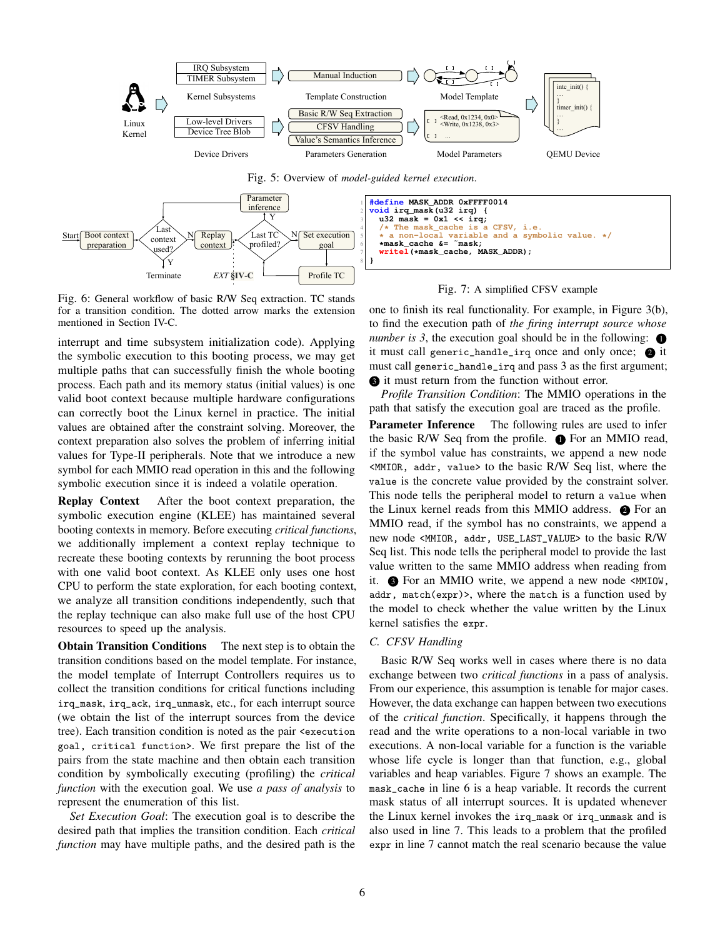

Fig. 6: General workflow of basic R/W Seq extraction. TC stands for a transition condition. The dotted arrow marks the extension mentioned in Section IV-C.

interrupt and time subsystem initialization code). Applying the symbolic execution to this booting process, we may get multiple paths that can successfully finish the whole booting process. Each path and its memory status (initial values) is one valid boot context because multiple hardware configurations can correctly boot the Linux kernel in practice. The initial values are obtained after the constraint solving. Moreover, the context preparation also solves the problem of inferring initial values for Type-II peripherals. Note that we introduce a new symbol for each MMIO read operation in this and the following symbolic execution since it is indeed a volatile operation.

Replay Context After the boot context preparation, the symbolic execution engine (KLEE) has maintained several booting contexts in memory. Before executing *critical functions*, we additionally implement a context replay technique to recreate these booting contexts by rerunning the boot process with one valid boot context. As KLEE only uses one host CPU to perform the state exploration, for each booting context, we analyze all transition conditions independently, such that the replay technique can also make full use of the host CPU resources to speed up the analysis.

Obtain Transition Conditions The next step is to obtain the transition conditions based on the model template. For instance, the model template of Interrupt Controllers requires us to collect the transition conditions for critical functions including irq\_mask, irq\_ack, irq\_unmask, etc., for each interrupt source (we obtain the list of the interrupt sources from the device tree). Each transition condition is noted as the pair <execution goal, critical function>. We first prepare the list of the pairs from the state machine and then obtain each transition condition by symbolically executing (profiling) the *critical function* with the execution goal. We use *a pass of analysis* to represent the enumeration of this list.

*Set Execution Goal*: The execution goal is to describe the desired path that implies the transition condition. Each *critical function* may have multiple paths, and the desired path is the

#### Fig. 7: A simplified CFSV example

one to finish its real functionality. For example, in Figure 3(b), to find the execution path of *the firing interrupt source whose number is 3*, the execution goal should be in the following:  $\bigcirc$ it must call generic\_handle\_irq once and only once;  $\bigcirc$  it must call generic\_handle\_irq and pass 3 as the first argument; **3** it must return from the function without error.

*Profile Transition Condition*: The MMIO operations in the path that satisfy the execution goal are traced as the profile. Parameter Inference The following rules are used to infer the basic R/W Seq from the profile.  $\bigcirc$  For an MMIO read, if the symbol value has constraints, we append a new node <MMIOR, addr, value> to the basic R/W Seq list, where the value is the concrete value provided by the constraint solver. This node tells the peripheral model to return a value when the Linux kernel reads from this MMIO address.  $\bullet$  For an MMIO read, if the symbol has no constraints, we append a new node <MMIOR, addr, USE\_LAST\_VALUE> to the basic R/W Seq list. This node tells the peripheral model to provide the last value written to the same MMIO address when reading from it.  $\bigcirc$  For an MMIO write, we append a new node <MMIOW, addr, match(expr)>, where the match is a function used by the model to check whether the value written by the Linux kernel satisfies the expr.

#### *C. CFSV Handling*

Basic R/W Seq works well in cases where there is no data exchange between two *critical functions* in a pass of analysis. From our experience, this assumption is tenable for major cases. However, the data exchange can happen between two executions of the *critical function*. Specifically, it happens through the read and the write operations to a non-local variable in two executions. A non-local variable for a function is the variable whose life cycle is longer than that function, e.g., global variables and heap variables. Figure 7 shows an example. The mask\_cache in line 6 is a heap variable. It records the current mask status of all interrupt sources. It is updated whenever the Linux kernel invokes the irq\_mask or irq\_unmask and is also used in line 7. This leads to a problem that the profiled expr in line 7 cannot match the real scenario because the value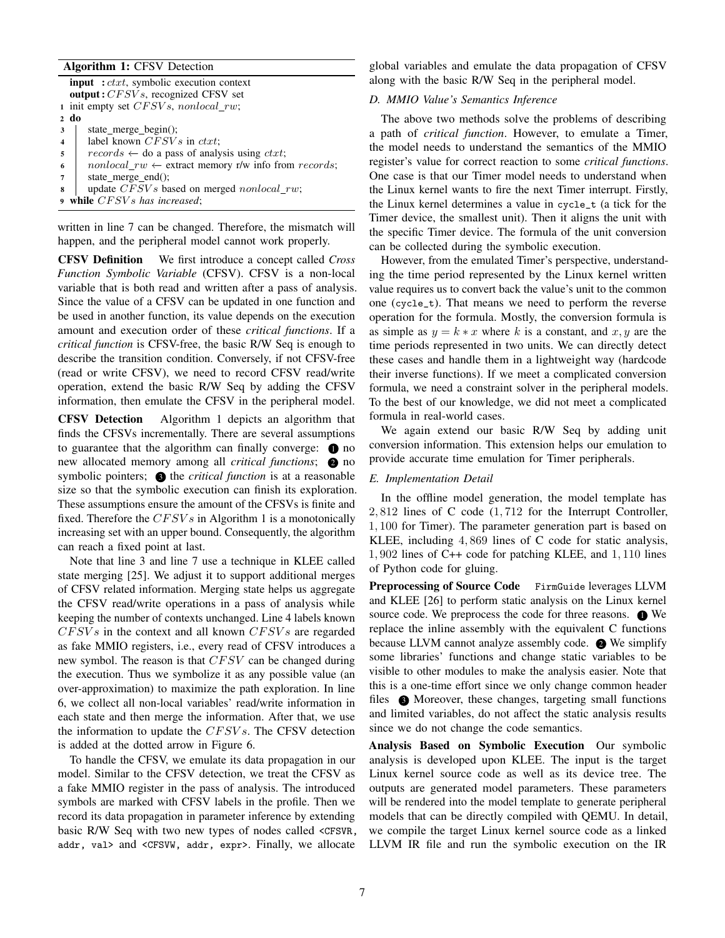# Algorithm 1: CFSV Detection

|   | input : ctxt, symbolic execution context                                      |  |  |  |  |  |  |  |
|---|-------------------------------------------------------------------------------|--|--|--|--|--|--|--|
|   | output: $CFSVs$ , recognized CFSV set                                         |  |  |  |  |  |  |  |
|   | 1 init empty set $CFSVs$ , nonlocal_rw;                                       |  |  |  |  |  |  |  |
|   | $2 \text{ do}$                                                                |  |  |  |  |  |  |  |
| 3 | state_merge_begin();                                                          |  |  |  |  |  |  |  |
| 4 | label known $CFSVs$ in ctxt;                                                  |  |  |  |  |  |  |  |
| 5 | $records \leftarrow$ do a pass of analysis using <i>ctxt</i> ;                |  |  |  |  |  |  |  |
| 6 | <i>nonlocal</i> $rw \leftarrow$ extract memory r/w info from <i>records</i> ; |  |  |  |  |  |  |  |
|   | state merge end $()$ :                                                        |  |  |  |  |  |  |  |
| 8 | update $CFSVs$ based on merged nonlocal_rw;                                   |  |  |  |  |  |  |  |
|   | 9 while CFSVs has increased;                                                  |  |  |  |  |  |  |  |

written in line 7 can be changed. Therefore, the mismatch will happen, and the peripheral model cannot work properly.

CFSV Definition We first introduce a concept called *Cross Function Symbolic Variable* (CFSV). CFSV is a non-local variable that is both read and written after a pass of analysis. Since the value of a CFSV can be updated in one function and be used in another function, its value depends on the execution amount and execution order of these *critical functions*. If a *critical function* is CFSV-free, the basic R/W Seq is enough to describe the transition condition. Conversely, if not CFSV-free (read or write CFSV), we need to record CFSV read/write operation, extend the basic R/W Seq by adding the CFSV information, then emulate the CFSV in the peripheral model.

CFSV Detection Algorithm 1 depicts an algorithm that finds the CFSVs incrementally. There are several assumptions to guarantee that the algorithm can finally converge:  $\bullet$  no new allocated memory among all *critical functions*; **2** no symbolic pointers;  $\bullet$  the *critical function* is at a reasonable size so that the symbolic execution can finish its exploration. These assumptions ensure the amount of the CFSVs is finite and fixed. Therefore the  $CFSVs$  in Algorithm 1 is a monotonically increasing set with an upper bound. Consequently, the algorithm can reach a fixed point at last.

Note that line 3 and line 7 use a technique in KLEE called state merging [25]. We adjust it to support additional merges of CFSV related information. Merging state helps us aggregate the CFSV read/write operations in a pass of analysis while keeping the number of contexts unchanged. Line 4 labels known  $CFSVs$  in the context and all known  $CFSVs$  are regarded as fake MMIO registers, i.e., every read of CFSV introduces a new symbol. The reason is that CFSV can be changed during the execution. Thus we symbolize it as any possible value (an over-approximation) to maximize the path exploration. In line 6, we collect all non-local variables' read/write information in each state and then merge the information. After that, we use the information to update the  $CFSVs$ . The CFSV detection is added at the dotted arrow in Figure 6.

To handle the CFSV, we emulate its data propagation in our model. Similar to the CFSV detection, we treat the CFSV as a fake MMIO register in the pass of analysis. The introduced symbols are marked with CFSV labels in the profile. Then we record its data propagation in parameter inference by extending basic R/W Seq with two new types of nodes called <CFSVR, addr, val> and <CFSVW, addr, expr>. Finally, we allocate

global variables and emulate the data propagation of CFSV along with the basic R/W Seq in the peripheral model.

## *D. MMIO Value's Semantics Inference*

The above two methods solve the problems of describing a path of *critical function*. However, to emulate a Timer, the model needs to understand the semantics of the MMIO register's value for correct reaction to some *critical functions*. One case is that our Timer model needs to understand when the Linux kernel wants to fire the next Timer interrupt. Firstly, the Linux kernel determines a value in cycle\_t (a tick for the Timer device, the smallest unit). Then it aligns the unit with the specific Timer device. The formula of the unit conversion can be collected during the symbolic execution.

However, from the emulated Timer's perspective, understanding the time period represented by the Linux kernel written value requires us to convert back the value's unit to the common one (cycle\_t). That means we need to perform the reverse operation for the formula. Mostly, the conversion formula is as simple as  $y = k * x$  where k is a constant, and  $x, y$  are the time periods represented in two units. We can directly detect these cases and handle them in a lightweight way (hardcode their inverse functions). If we meet a complicated conversion formula, we need a constraint solver in the peripheral models. To the best of our knowledge, we did not meet a complicated formula in real-world cases.

We again extend our basic R/W Seq by adding unit conversion information. This extension helps our emulation to provide accurate time emulation for Timer peripherals.

## *E. Implementation Detail*

In the offline model generation, the model template has 2, 812 lines of C code (1, 712 for the Interrupt Controller, 1, 100 for Timer). The parameter generation part is based on KLEE, including 4, 869 lines of C code for static analysis, 1, 902 lines of C++ code for patching KLEE, and 1, 110 lines of Python code for gluing.

Preprocessing of Source Code FirmGuide leverages LLVM and KLEE [26] to perform static analysis on the Linux kernel source code. We preprocess the code for three reasons.  $\bullet$  We replace the inline assembly with the equivalent C functions because LLVM cannot analyze assembly code.  $\bullet$  We simplify some libraries' functions and change static variables to be visible to other modules to make the analysis easier. Note that this is a one-time effort since we only change common header files  $\bullet$  Moreover, these changes, targeting small functions and limited variables, do not affect the static analysis results since we do not change the code semantics.

Analysis Based on Symbolic Execution Our symbolic analysis is developed upon KLEE. The input is the target Linux kernel source code as well as its device tree. The outputs are generated model parameters. These parameters will be rendered into the model template to generate peripheral models that can be directly compiled with QEMU. In detail, we compile the target Linux kernel source code as a linked LLVM IR file and run the symbolic execution on the IR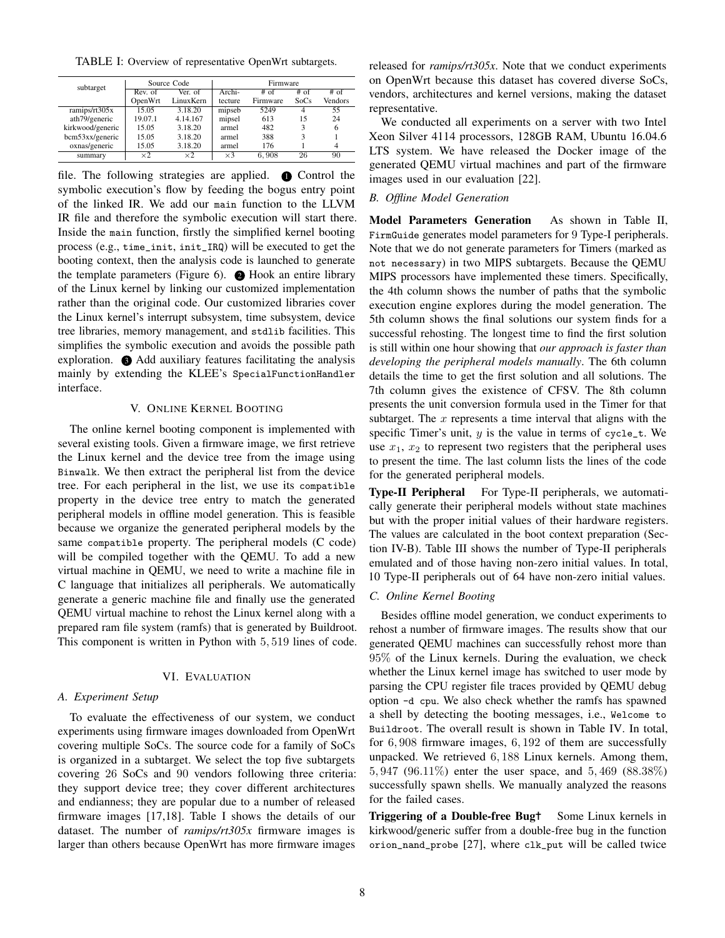TABLE I: Overview of representative OpenWrt subtargets.

| subtarget        | Source Code |            | Firmware   |          |                |         |
|------------------|-------------|------------|------------|----------|----------------|---------|
|                  | Rev. of     | Ver. of    | Archi-     | # of     | # of           | $#$ of  |
|                  | OpenWrt     | Linux Kern | tecture    | Firmware | SoCs           | Vendors |
| ramips/rt $305x$ | 15.05       | 3.18.20    | mipseb     | 5249     | $\overline{4}$ | 55      |
| ath79/generic    | 19.07.1     | 4.14.167   | mipsel     | 613      | 15             | 24      |
| kirkwood/generic | 15.05       | 3.18.20    | armel      | 482      | 3              | 6       |
| bcm53xx/generic  | 15.05       | 3.18.20    | armel      | 388      | 3              |         |
| oxnas/generic    | 15.05       | 3.18.20    | armel      | 176      |                | 4       |
| summary          | $\times 2$  | $\times$ 2 | $\times$ 3 | 6.908    | 26             | 90      |

file. The following strategies are applied.  $\bigcirc$  Control the symbolic execution's flow by feeding the bogus entry point of the linked IR. We add our main function to the LLVM IR file and therefore the symbolic execution will start there. Inside the main function, firstly the simplified kernel booting process (e.g., time\_init, init\_IRQ) will be executed to get the booting context, then the analysis code is launched to generate the template parameters (Figure 6).  $\bullet$  Hook an entire library of the Linux kernel by linking our customized implementation rather than the original code. Our customized libraries cover the Linux kernel's interrupt subsystem, time subsystem, device tree libraries, memory management, and stdlib facilities. This simplifies the symbolic execution and avoids the possible path exploration.  $\bigcirc$  Add auxiliary features facilitating the analysis mainly by extending the KLEE's SpecialFunctionHandler interface.

#### V. ONLINE KERNEL BOOTING

The online kernel booting component is implemented with several existing tools. Given a firmware image, we first retrieve the Linux kernel and the device tree from the image using Binwalk. We then extract the peripheral list from the device tree. For each peripheral in the list, we use its compatible property in the device tree entry to match the generated peripheral models in offline model generation. This is feasible because we organize the generated peripheral models by the same compatible property. The peripheral models (C code) will be compiled together with the QEMU. To add a new virtual machine in QEMU, we need to write a machine file in C language that initializes all peripherals. We automatically generate a generic machine file and finally use the generated QEMU virtual machine to rehost the Linux kernel along with a prepared ram file system (ramfs) that is generated by Buildroot. This component is written in Python with 5, 519 lines of code.

## VI. EVALUATION

## *A. Experiment Setup*

To evaluate the effectiveness of our system, we conduct experiments using firmware images downloaded from OpenWrt covering multiple SoCs. The source code for a family of SoCs is organized in a subtarget. We select the top five subtargets covering 26 SoCs and 90 vendors following three criteria: they support device tree; they cover different architectures and endianness; they are popular due to a number of released firmware images [17,18]. Table I shows the details of our dataset. The number of *ramips/rt305x* firmware images is larger than others because OpenWrt has more firmware images

released for *ramips/rt305x*. Note that we conduct experiments on OpenWrt because this dataset has covered diverse SoCs, vendors, architectures and kernel versions, making the dataset representative.

We conducted all experiments on a server with two Intel Xeon Silver 4114 processors, 128GB RAM, Ubuntu 16.04.6 LTS system. We have released the Docker image of the generated QEMU virtual machines and part of the firmware images used in our evaluation [22].

# *B. Offline Model Generation*

Model Parameters Generation As shown in Table II, FirmGuide generates model parameters for 9 Type-I peripherals. Note that we do not generate parameters for Timers (marked as not necessary) in two MIPS subtargets. Because the QEMU MIPS processors have implemented these timers. Specifically, the 4th column shows the number of paths that the symbolic execution engine explores during the model generation. The 5th column shows the final solutions our system finds for a successful rehosting. The longest time to find the first solution is still within one hour showing that *our approach is faster than developing the peripheral models manually*. The 6th column details the time to get the first solution and all solutions. The 7th column gives the existence of CFSV. The 8th column presents the unit conversion formula used in the Timer for that subtarget. The  $x$  represents a time interval that aligns with the specific Timer's unit,  $y$  is the value in terms of cycle\_t. We use  $x_1, x_2$  to represent two registers that the peripheral uses to present the time. The last column lists the lines of the code for the generated peripheral models.

Type-II Peripheral For Type-II peripherals, we automatically generate their peripheral models without state machines but with the proper initial values of their hardware registers. The values are calculated in the boot context preparation (Section IV-B). Table III shows the number of Type-II peripherals emulated and of those having non-zero initial values. In total, 10 Type-II peripherals out of 64 have non-zero initial values.

#### *C. Online Kernel Booting*

Besides offline model generation, we conduct experiments to rehost a number of firmware images. The results show that our generated QEMU machines can successfully rehost more than 95% of the Linux kernels. During the evaluation, we check whether the Linux kernel image has switched to user mode by parsing the CPU register file traces provided by QEMU debug option -d cpu. We also check whether the ramfs has spawned a shell by detecting the booting messages, i.e., Welcome to Buildroot. The overall result is shown in Table IV. In total, for 6, 908 firmware images, 6, 192 of them are successfully unpacked. We retrieved 6, 188 Linux kernels. Among them, 5, 947 (96.11%) enter the user space, and 5, 469 (88.38%) successfully spawn shells. We manually analyzed the reasons for the failed cases.

Triggering of a Double-free Bugt Some Linux kernels in kirkwood/generic suffer from a double-free bug in the function orion\_nand\_probe [27], where clk\_put will be called twice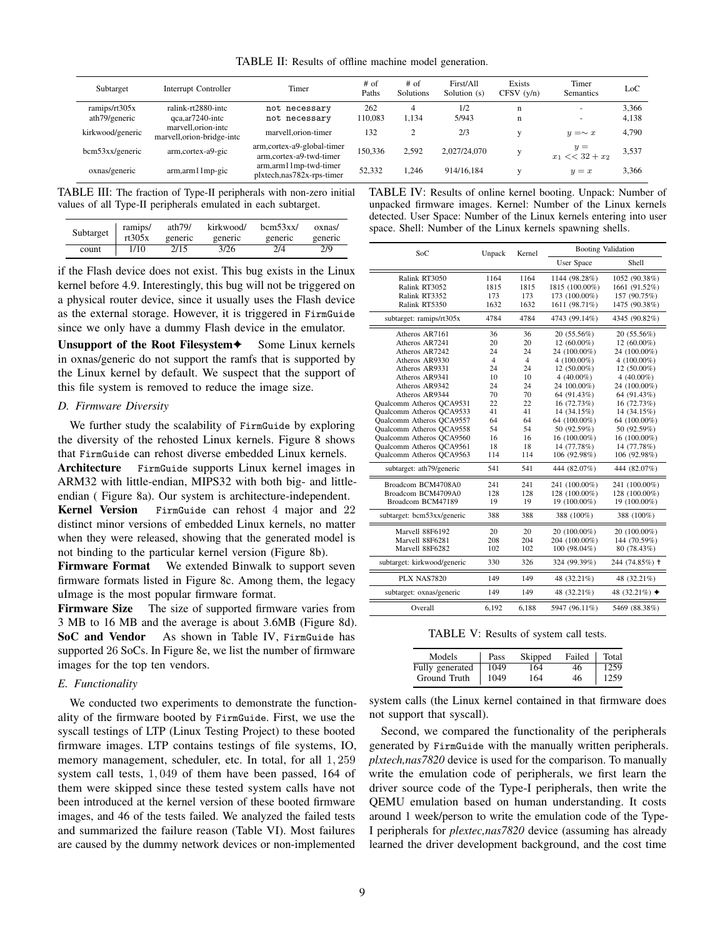TABLE II: Results of offline machine model generation.

| Subtarget                     | Interrupt Controller                              | Timer                                                   | $#$ of<br>Paths | $#$ of<br><b>Solutions</b> | First/All<br>Solution (s) | Exists<br>CFSV(y/n) | Timer<br><b>Semantics</b>   | LoC            |
|-------------------------------|---------------------------------------------------|---------------------------------------------------------|-----------------|----------------------------|---------------------------|---------------------|-----------------------------|----------------|
| ramps/rt305x<br>ath79/generic | ralink-rt2880-intc<br>$qca, ar7240$ -intc         | not necessary<br>not necessary                          | 262<br>110,083  | 1.134                      | 1/2<br>5/943              | n<br>n              | -<br>۰                      | 3,366<br>4,138 |
| kirkwood/generic              | marvell, orion-inte<br>marvell, orion-bridge-intc | marvell.orion-timer                                     | 132             | C.                         | 2/3                       |                     | $y = \sim x$                | 4,790          |
| bcm53xx/generic               | arm, cortex-a9-gic                                | arm, cortex-a9-global-timer<br>arm,cortex-a9-twd-timer  | 150,336         | 2,592                      | 2.027/24.070              | $\mathbf{V}$        | $y =$<br>$x_1 \ll 32 + x_2$ | 3,537          |
| oxnas/generic                 | arm, arm 1 1 mp-gic                               | arm, arm 1 1 mp-twd-timer<br>plxtech, nas782x-rps-timer | 52,332          | 1.246                      | 914/16.184                | $\mathbf{V}$        | $y = x$                     | 3,366          |

TABLE III: The fraction of Type-II peripherals with non-zero initial values of all Type-II peripherals emulated in each subtarget.

| Subtarget | ramips/ | ath79/  | kirkwood/ | bcm53xx/ | oxnas/  |
|-----------|---------|---------|-----------|----------|---------|
|           | rt305x  | generic | generic   | generic  | generic |
| count     | 1/10    | 2/15    | 3/26      | 2/4      | 2/9     |

if the Flash device does not exist. This bug exists in the Linux kernel before 4.9. Interestingly, this bug will not be triggered on a physical router device, since it usually uses the Flash device as the external storage. However, it is triggered in FirmGuide since we only have a dummy Flash device in the emulator.

Unsupport of the Root Filesystem<sup>→</sup> Some Linux kernels in oxnas/generic do not support the ramfs that is supported by the Linux kernel by default. We suspect that the support of this file system is removed to reduce the image size.

## *D. Firmware Diversity*

We further study the scalability of FirmGuide by exploring the diversity of the rehosted Linux kernels. Figure 8 shows that FirmGuide can rehost diverse embedded Linux kernels.

Architecture FirmGuide supports Linux kernel images in ARM32 with little-endian, MIPS32 with both big- and littleendian ( Figure 8a). Our system is architecture-independent.

Kernel Version FirmGuide can rehost 4 major and 22 distinct minor versions of embedded Linux kernels, no matter when they were released, showing that the generated model is not binding to the particular kernel version (Figure 8b).

Firmware Format We extended Binwalk to support seven firmware formats listed in Figure 8c. Among them, the legacy uImage is the most popular firmware format.

Firmware Size The size of supported firmware varies from 3 MB to 16 MB and the average is about 3.6MB (Figure 8d). SoC and Vendor As shown in Table IV, FirmGuide has supported 26 SoCs. In Figure 8e, we list the number of firmware images for the top ten vendors.

# *E. Functionality*

We conducted two experiments to demonstrate the functionality of the firmware booted by FirmGuide. First, we use the syscall testings of LTP (Linux Testing Project) to these booted firmware images. LTP contains testings of file systems, IO, memory management, scheduler, etc. In total, for all 1, 259 system call tests, 1, 049 of them have been passed, 164 of them were skipped since these tested system calls have not been introduced at the kernel version of these booted firmware images, and 46 of the tests failed. We analyzed the failed tests and summarized the failure reason (Table VI). Most failures are caused by the dummy network devices or non-implemented

TABLE IV: Results of online kernel booting. Unpack: Number of unpacked firmware images. Kernel: Number of the Linux kernels detected. User Space: Number of the Linux kernels entering into user space. Shell: Number of the Linux kernels spawning shells.

| SoC.                        | Unpack | Kernel | <b>Booting Validation</b> |                             |
|-----------------------------|--------|--------|---------------------------|-----------------------------|
|                             |        |        | User Space                | Shell                       |
| Ralink RT3050               | 1164   | 1164   | 1144 (98.28%)             | 1052 (90.38%)               |
| Ralink RT3052               | 1815   | 1815   | 1815 (100.00%)            | 1661 (91.52%)               |
| Ralink RT3352               | 173    | 173    | 173 (100.00%)             | 157 (90.75%)                |
| Ralink RT5350               | 1632   | 1632   | 1611 (98.71%)             | 1475 (90.38%)               |
| subtarget: ramips/rt305x    | 4784   | 4784   | 4743 (99.14%)             | 4345 (90.82%)               |
| Atheros AR7161              | 36     | 36     | 20 (55.56%)               | 20(55.56%)                  |
| Atheros AR7241              | 20     | 20     | $12(60.00\%)$             | 12 (60.00%)                 |
| Atheros AR7242              | 24     | 24     | 24 (100.00%)              | 24 (100.00%)                |
| Atheros AR9330              | 4      | 4      | 4 $(100.00\%)$            | $4(100.00\%)$               |
| Atheros AR9331              | 24     | 24     | $12(50.00\%)$             | $12(50.00\%)$               |
| Atheros AR9341              | 10     | 10     | $4(40.00\%)$              | $4(40.00\%)$                |
| Atheros AR9342              | 24     | 24     | 24 100.00%)               | 24 (100.00%)                |
| Atheros AR9344              | 70     | 70     | 64 (91.43%)               | 64 (91.43%)                 |
| Qualcomm Atheros QCA9531    | 22     | 22     | 16 (72.73%)               | 16 (72.73%)                 |
| Qualcomm Atheros QCA9533    | 41     | 41     | 14 (34.15%)               | 14 (34.15%)                 |
| Qualcomm Atheros QCA9557    | 64     | 64     | 64 (100.00%)              | 64 (100.00%)                |
| Qualcomm Atheros QCA9558    | 54     | 54     | 50 (92.59%)               | 50 (92.59%)                 |
| Qualcomm Atheros QCA9560    | 16     | 16     | 16 (100.00%)              | 16 (100.00%)                |
| Qualcomm Atheros QCA9561    | 18     | 18     | 14 (77.78%)               | 14 (77.78%)                 |
| Qualcomm Atheros QCA9563    | 114    | 114    | 106 (92.98%)              | 106 (92.98%)                |
| subtarget: ath79/generic    | 541    | 541    | 444 (82.07%)              | 444 (82.07%)                |
| Broadcom BCM4708A0          | 241    | 241    | 241 (100.00%)             | 241 (100.00%)               |
| Broadcom BCM4709A0          | 128    | 128    | 128 (100.00%)             | 128 (100.00%)               |
| Broadcom BCM47189           | 19     | 19     | 19 (100.00%)              | 19 (100.00%)                |
| subtarget: bcm53xx/generic  | 388    | 388    | 388 (100%)                | 388 (100%)                  |
| Marvell 88F6192             | 20     | 20     | 20 (100.00%)              | 20 (100.00%)                |
| Marvell 88F6281             | 208    | 204    | 204 (100.00%)             | 144 (70.59%)                |
| Marvell 88F6282             | 102    | 102    | 100 (98.04%)              | 80 (78.43%)                 |
| subtarget: kirkwood/generic | 330    | 326    | 324 (99.39%)              | 244 (74.85%) +              |
| PLX NAS7820                 | 149    | 149    | 48 (32.21%)               | 48 (32.21%)                 |
| subtarget: oxnas/generic    | 149    | 149    | 48 (32.21%)               | 48 (32.21%) $\triangleleft$ |
| Overall                     | 6,192  | 6,188  | 5947 (96.11%)             | 5469 (88.38%)               |

TABLE V: Results of system call tests.

| Models          | Pass | Skipped | Failed | Total |
|-----------------|------|---------|--------|-------|
| Fully generated | 1049 | 164     | 46     | 1259  |
| Ground Truth    | 1049 | 164     | 46     | 1259  |

system calls (the Linux kernel contained in that firmware does not support that syscall).

Second, we compared the functionality of the peripherals generated by FirmGuide with the manually written peripherals. *plxtech,nas7820* device is used for the comparison. To manually write the emulation code of peripherals, we first learn the driver source code of the Type-I peripherals, then write the QEMU emulation based on human understanding. It costs around 1 week/person to write the emulation code of the Type-I peripherals for *plextec,nas7820* device (assuming has already learned the driver development background, and the cost time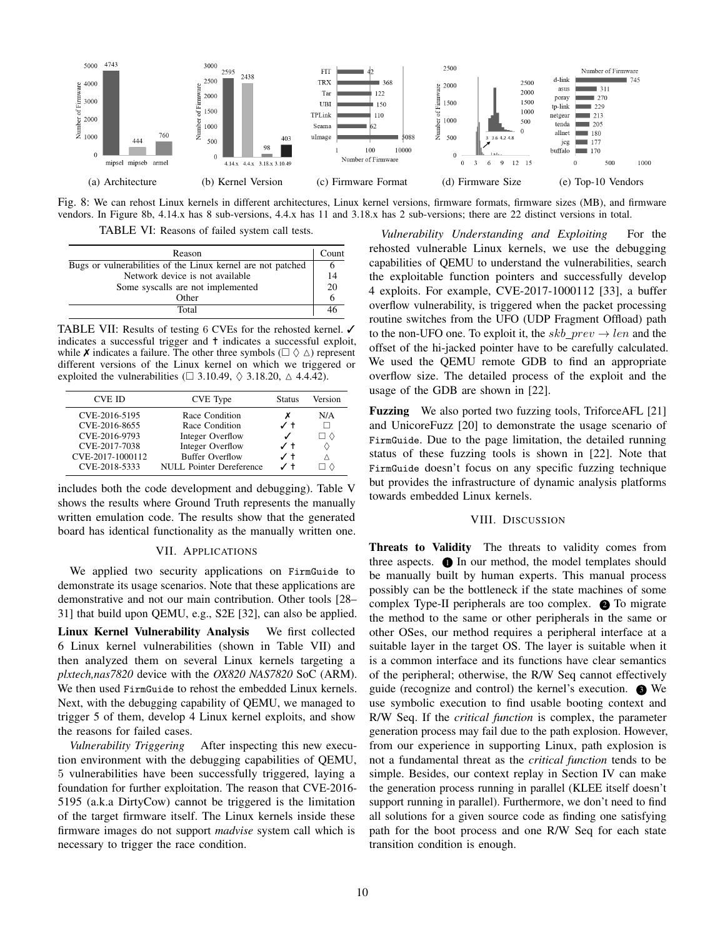

Fig. 8: We can rehost Linux kernels in different architectures, Linux kernel versions, firmware formats, firmware sizes (MB), and firmware vendors. In Figure 8b, 4.14.x has 8 sub-versions, 4.4.x has 11 and 3.18.x has 2 sub-versions; there are 22 distinct versions in total.

TABLE VI: Reasons of failed system call tests.

| Reason                                                      | Count |
|-------------------------------------------------------------|-------|
| Bugs or vulnerabilities of the Linux kernel are not patched |       |
| Network device is not available                             | 14    |
| Some syscalls are not implemented                           | 20    |
| Other                                                       |       |
| Total                                                       |       |

TABLE VII: Results of testing 6 CVEs for the rehosted kernel. ✓ indicates a successful trigger and <sup>†</sup> indicates a successful exploit, while  $\chi$  indicates a failure. The other three symbols ( $\Box$   $\Diamond$   $\triangle$ ) represent different versions of the Linux kernel on which we triggered or exploited the vulnerabilities ( $\Box$  3.10.49,  $\Diamond$  3.18.20,  $\triangle$  4.4.42).

| <b>CVE ID</b>                     | CVE Type                                                  | <b>Status</b> | Version |
|-----------------------------------|-----------------------------------------------------------|---------------|---------|
| CVE-2016-5195                     | Race Condition                                            |               | N/A     |
| CVE-2016-8655<br>CVE-2016-9793    | Race Condition<br>Integer Overflow                        | ✓+            | $\Box$  |
| CVE-2017-7038                     | <b>Integer Overflow</b>                                   | ✓+            |         |
| CVE-2017-1000112<br>CVE-2018-5333 | <b>Buffer Overflow</b><br><b>NULL Pointer Dereference</b> | ✓ +           |         |

includes both the code development and debugging). Table V shows the results where Ground Truth represents the manually written emulation code. The results show that the generated board has identical functionality as the manually written one.

#### VII. APPLICATIONS

We applied two security applications on FirmGuide to demonstrate its usage scenarios. Note that these applications are demonstrative and not our main contribution. Other tools [28– 31] that build upon QEMU, e.g., S2E [32], can also be applied.

Linux Kernel Vulnerability Analysis We first collected 6 Linux kernel vulnerabilities (shown in Table VII) and then analyzed them on several Linux kernels targeting a *plxtech,nas7820* device with the *OX820 NAS7820* SoC (ARM). We then used FirmGuide to rehost the embedded Linux kernels. Next, with the debugging capability of QEMU, we managed to trigger 5 of them, develop 4 Linux kernel exploits, and show the reasons for failed cases.

*Vulnerability Triggering* After inspecting this new execution environment with the debugging capabilities of QEMU, 5 vulnerabilities have been successfully triggered, laying a foundation for further exploitation. The reason that CVE-2016- 5195 (a.k.a DirtyCow) cannot be triggered is the limitation of the target firmware itself. The Linux kernels inside these firmware images do not support *madvise* system call which is necessary to trigger the race condition.

*Vulnerability Understanding and Exploiting* For the rehosted vulnerable Linux kernels, we use the debugging capabilities of QEMU to understand the vulnerabilities, search the exploitable function pointers and successfully develop 4 exploits. For example, CVE-2017-1000112 [33], a buffer overflow vulnerability, is triggered when the packet processing routine switches from the UFO (UDP Fragment Offload) path to the non-UFO one. To exploit it, the skb prev  $\rightarrow$  len and the offset of the hi-jacked pointer have to be carefully calculated. We used the QEMU remote GDB to find an appropriate overflow size. The detailed process of the exploit and the usage of the GDB are shown in [22].

Fuzzing We also ported two fuzzing tools, TriforceAFL [21] and UnicoreFuzz [20] to demonstrate the usage scenario of FirmGuide. Due to the page limitation, the detailed running status of these fuzzing tools is shown in [22]. Note that FirmGuide doesn't focus on any specific fuzzing technique but provides the infrastructure of dynamic analysis platforms towards embedded Linux kernels.

# VIII. DISCUSSION

Threats to Validity The threats to validity comes from three aspects.  $\bullet$  In our method, the model templates should be manually built by human experts. This manual process possibly can be the bottleneck if the state machines of some complex Type-II peripherals are too complex.  $\bullet$  To migrate the method to the same or other peripherals in the same or other OSes, our method requires a peripheral interface at a suitable layer in the target OS. The layer is suitable when it is a common interface and its functions have clear semantics of the peripheral; otherwise, the R/W Seq cannot effectively guide (recognize and control) the kernel's execution.  $\bigcirc$  We use symbolic execution to find usable booting context and R/W Seq. If the *critical function* is complex, the parameter generation process may fail due to the path explosion. However, from our experience in supporting Linux, path explosion is not a fundamental threat as the *critical function* tends to be simple. Besides, our context replay in Section IV can make the generation process running in parallel (KLEE itself doesn't support running in parallel). Furthermore, we don't need to find all solutions for a given source code as finding one satisfying path for the boot process and one R/W Seq for each state transition condition is enough.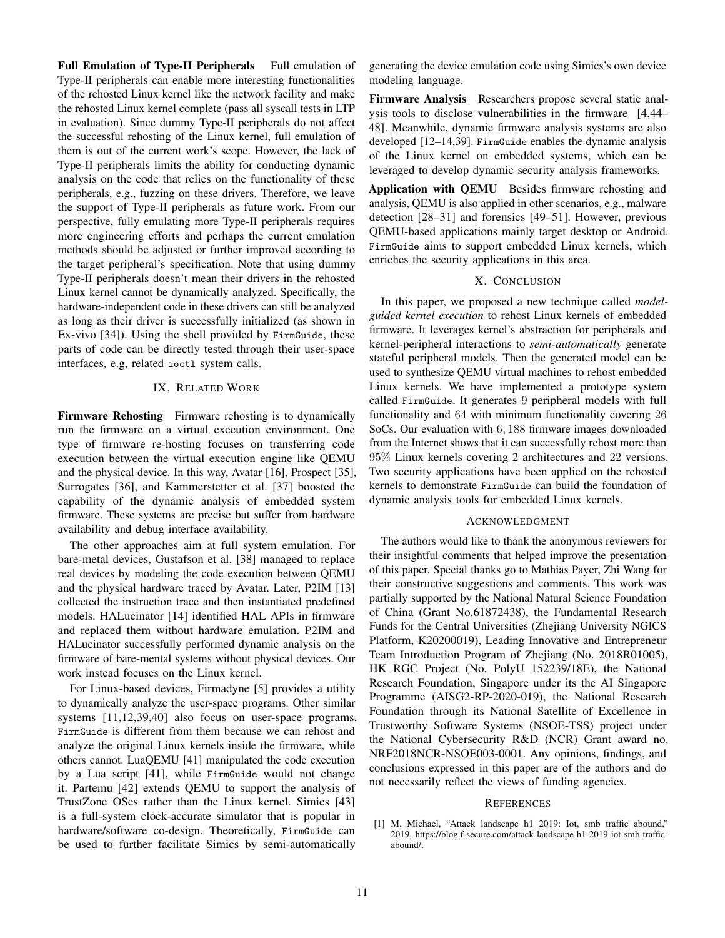Full Emulation of Type-II Peripherals Full emulation of Type-II peripherals can enable more interesting functionalities of the rehosted Linux kernel like the network facility and make the rehosted Linux kernel complete (pass all syscall tests in LTP in evaluation). Since dummy Type-II peripherals do not affect the successful rehosting of the Linux kernel, full emulation of them is out of the current work's scope. However, the lack of Type-II peripherals limits the ability for conducting dynamic analysis on the code that relies on the functionality of these peripherals, e.g., fuzzing on these drivers. Therefore, we leave the support of Type-II peripherals as future work. From our perspective, fully emulating more Type-II peripherals requires more engineering efforts and perhaps the current emulation methods should be adjusted or further improved according to the target peripheral's specification. Note that using dummy Type-II peripherals doesn't mean their drivers in the rehosted Linux kernel cannot be dynamically analyzed. Specifically, the hardware-independent code in these drivers can still be analyzed as long as their driver is successfully initialized (as shown in Ex-vivo [34]). Using the shell provided by FirmGuide, these parts of code can be directly tested through their user-space interfaces, e.g, related ioctl system calls.

## IX. RELATED WORK

Firmware Rehosting Firmware rehosting is to dynamically run the firmware on a virtual execution environment. One type of firmware re-hosting focuses on transferring code execution between the virtual execution engine like QEMU and the physical device. In this way, Avatar [16], Prospect [35], Surrogates [36], and Kammerstetter et al. [37] boosted the capability of the dynamic analysis of embedded system firmware. These systems are precise but suffer from hardware availability and debug interface availability.

The other approaches aim at full system emulation. For bare-metal devices, Gustafson et al. [38] managed to replace real devices by modeling the code execution between QEMU and the physical hardware traced by Avatar. Later, P2IM [13] collected the instruction trace and then instantiated predefined models. HALucinator [14] identified HAL APIs in firmware and replaced them without hardware emulation. P2IM and HALucinator successfully performed dynamic analysis on the firmware of bare-mental systems without physical devices. Our work instead focuses on the Linux kernel.

For Linux-based devices, Firmadyne [5] provides a utility to dynamically analyze the user-space programs. Other similar systems [11,12,39,40] also focus on user-space programs. FirmGuide is different from them because we can rehost and analyze the original Linux kernels inside the firmware, while others cannot. LuaQEMU [41] manipulated the code execution by a Lua script [41], while FirmGuide would not change it. Partemu [42] extends QEMU to support the analysis of TrustZone OSes rather than the Linux kernel. Simics [43] is a full-system clock-accurate simulator that is popular in hardware/software co-design. Theoretically, FirmGuide can be used to further facilitate Simics by semi-automatically

generating the device emulation code using Simics's own device modeling language.

Firmware Analysis Researchers propose several static analysis tools to disclose vulnerabilities in the firmware [4,44– 48]. Meanwhile, dynamic firmware analysis systems are also developed [12–14,39]. FirmGuide enables the dynamic analysis of the Linux kernel on embedded systems, which can be leveraged to develop dynamic security analysis frameworks.

Application with QEMU Besides firmware rehosting and analysis, QEMU is also applied in other scenarios, e.g., malware detection [28–31] and forensics [49–51]. However, previous QEMU-based applications mainly target desktop or Android. FirmGuide aims to support embedded Linux kernels, which enriches the security applications in this area.

## X. CONCLUSION

In this paper, we proposed a new technique called *modelguided kernel execution* to rehost Linux kernels of embedded firmware. It leverages kernel's abstraction for peripherals and kernel-peripheral interactions to *semi-automatically* generate stateful peripheral models. Then the generated model can be used to synthesize QEMU virtual machines to rehost embedded Linux kernels. We have implemented a prototype system called FirmGuide. It generates 9 peripheral models with full functionality and 64 with minimum functionality covering 26 SoCs. Our evaluation with 6, 188 firmware images downloaded from the Internet shows that it can successfully rehost more than 95% Linux kernels covering 2 architectures and 22 versions. Two security applications have been applied on the rehosted kernels to demonstrate FirmGuide can build the foundation of dynamic analysis tools for embedded Linux kernels.

#### ACKNOWLEDGMENT

The authors would like to thank the anonymous reviewers for their insightful comments that helped improve the presentation of this paper. Special thanks go to Mathias Payer, Zhi Wang for their constructive suggestions and comments. This work was partially supported by the National Natural Science Foundation of China (Grant No.61872438), the Fundamental Research Funds for the Central Universities (Zhejiang University NGICS Platform, K20200019), Leading Innovative and Entrepreneur Team Introduction Program of Zhejiang (No. 2018R01005), HK RGC Project (No. PolyU 152239/18E), the National Research Foundation, Singapore under its the AI Singapore Programme (AISG2-RP-2020-019), the National Research Foundation through its National Satellite of Excellence in Trustworthy Software Systems (NSOE-TSS) project under the National Cybersecurity R&D (NCR) Grant award no. NRF2018NCR-NSOE003-0001. Any opinions, findings, and conclusions expressed in this paper are of the authors and do not necessarily reflect the views of funding agencies.

#### **REFERENCES**

[1] M. Michael, "Attack landscape h1 2019: Iot, smb traffic abound," 2019, https://blog.f-secure.com/attack-landscape-h1-2019-iot-smb-trafficabound/.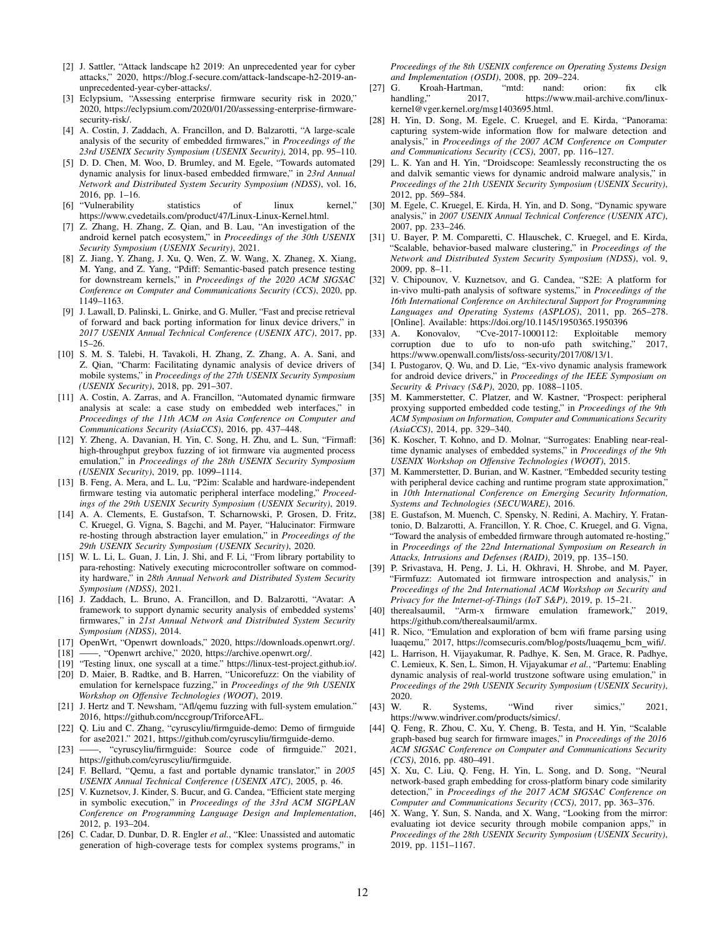- [2] J. Sattler, "Attack landscape h2 2019: An unprecedented year for cyber attacks," 2020, https://blog.f-secure.com/attack-landscape-h2-2019-anunprecedented-year-cyber-attacks/.
- [3] Eclypsium, "Assessing enterprise firmware security risk in 2020," 2020, https://eclypsium.com/2020/01/20/assessing-enterprise-firmwaresecurity-risk/.
- [4] A. Costin, J. Zaddach, A. Francillon, and D. Balzarotti, "A large-scale analysis of the security of embedded firmwares," in *Proceedings of the 23rd USENIX Security Symposium (USENIX Security)*, 2014, pp. 95–110.
- [5] D. D. Chen, M. Woo, D. Brumley, and M. Egele, "Towards automated dynamic analysis for linux-based embedded firmware," in *23rd Annual Network and Distributed System Security Symposium (NDSS)*, vol. 16, 2016, pp. 1–16.
- [6] "Vulnerability statistics of linux kernel," https://www.cvedetails.com/product/47/Linux-Linux-Kernel.html.
- [7] Z. Zhang, H. Zhang, Z. Qian, and B. Lau, "An investigation of the android kernel patch ecosystem," in *Proceedings of the 30th USENIX Security Symposium (USENIX Security)*, 2021.
- [8] Z. Jiang, Y. Zhang, J. Xu, Q. Wen, Z. W. Wang, X. Zhaneg, X. Xiang, M. Yang, and Z. Yang, "Pdiff: Semantic-based patch presence testing for downstream kernels," in *Proceedings of the 2020 ACM SIGSAC Conference on Computer and Communications Security (CCS)*, 2020, pp. 1149–1163.
- [9] J. Lawall, D. Palinski, L. Gnirke, and G. Muller, "Fast and precise retrieval of forward and back porting information for linux device drivers," in *2017 USENIX Annual Technical Conference (USENIX ATC)*, 2017, pp. 15–26.
- [10] S. M. S. Talebi, H. Tavakoli, H. Zhang, Z. Zhang, A. A. Sani, and Z. Qian, "Charm: Facilitating dynamic analysis of device drivers of mobile systems," in *Proceedings of the 27th USENIX Security Symposium (USENIX Security)*, 2018, pp. 291–307.
- [11] A. Costin, A. Zarras, and A. Francillon, "Automated dynamic firmware analysis at scale: a case study on embedded web interfaces," in *Proceedings of the 11th ACM on Asia Conference on Computer and Communications Security (AsiaCCS)*, 2016, pp. 437–448.
- [12] Y. Zheng, A. Davanian, H. Yin, C. Song, H. Zhu, and L. Sun, "Firmafl: high-throughput greybox fuzzing of iot firmware via augmented process emulation," in *Proceedings of the 28th USENIX Security Symposium (USENIX Security)*, 2019, pp. 1099–1114.
- [13] B. Feng, A. Mera, and L. Lu, "P2im: Scalable and hardware-independent firmware testing via automatic peripheral interface modeling," *Proceedings of the 29th USENIX Security Symposium (USENIX Security)*, 2019.
- [14] A. A. Clements, E. Gustafson, T. Scharnowski, P. Grosen, D. Fritz, C. Kruegel, G. Vigna, S. Bagchi, and M. Payer, "Halucinator: Firmware re-hosting through abstraction layer emulation," in *Proceedings of the 29th USENIX Security Symposium (USENIX Security)*, 2020.
- [15] W. L. Li, L. Guan, J. Lin, J. Shi, and F. Li, "From library portability to para-rehosting: Natively executing microcontroller software on commodity hardware," in *28th Annual Network and Distributed System Security Symposium (NDSS)*, 2021.
- [16] J. Zaddach, L. Bruno, A. Francillon, and D. Balzarotti, "Avatar: A framework to support dynamic security analysis of embedded systems' firmwares," in *21st Annual Network and Distributed System Security Symposium (NDSS)*, 2014.
- [17] OpenWrt, "Openwrt downloads," 2020, https://downloads.openwrt.org/.
- [18] ——, "Openwrt archive," 2020, https://archive.openwrt.org/.
- [19] "Testing linux, one syscall at a time." https://linux-test-project.github.io/.
- [20] D. Maier, B. Radtke, and B. Harren, "Unicorefuzz: On the viability of emulation for kernelspace fuzzing," in *Proceedings of the 9th USENIX Workshop on Offensive Technologies (WOOT)*, 2019.
- [21] J. Hertz and T. Newsham, "Afl/qemu fuzzing with full-system emulation." 2016, https://github.com/nccgroup/TriforceAFL.
- [22] Q. Liu and C. Zhang, "cyruscyliu/firmguide-demo: Demo of firmguide for ase2021." 2021, https://github.com/cyruscyliu/firmguide-demo.
- [23] ——, "cyruscyliu/firmguide: Source code of firmguide." 2021, https://github.com/cyruscyliu/firmguide.
- [24] F. Bellard, "Qemu, a fast and portable dynamic translator," in *2005 USENIX Annual Technical Conference (USENIX ATC)*, 2005, p. 46.
- [25] V. Kuznetsov, J. Kinder, S. Bucur, and G. Candea, "Efficient state merging in symbolic execution," in *Proceedings of the 33rd ACM SIGPLAN Conference on Programming Language Design and Implementation*, 2012, p. 193–204.
- [26] C. Cadar, D. Dunbar, D. R. Engler et al., "Klee: Unassisted and automatic generation of high-coverage tests for complex systems programs," in

*Proceedings of the 8th USENIX conference on Operating Systems Design and Implementation (OSDI)*, 2008, pp. 209–224.<br>G. Kroah-Hartman, "mtd: nand:

- [27] G. Kroah-Hartman, "mtd: nand: orion: fix clk handling," 2017, https://www.mail-archive.com/linuxkernel@vger.kernel.org/msg1403695.html.
- [28] H. Yin, D. Song, M. Egele, C. Kruegel, and E. Kirda, "Panorama: capturing system-wide information flow for malware detection and analysis," in *Proceedings of the 2007 ACM Conference on Computer and Communications Security (CCS)*, 2007, pp. 116–127.
- [29] L. K. Yan and H. Yin, "Droidscope: Seamlessly reconstructing the os and dalvik semantic views for dynamic android malware analysis," in *Proceedings of the 21th USENIX Security Symposium (USENIX Security)*, 2012, pp. 569–584.
- [30] M. Egele, C. Kruegel, E. Kirda, H. Yin, and D. Song, "Dynamic spyware analysis," in *2007 USENIX Annual Technical Conference (USENIX ATC)*, 2007, pp. 233–246.
- [31] U. Bayer, P. M. Comparetti, C. Hlauschek, C. Kruegel, and E. Kirda, "Scalable, behavior-based malware clustering," in *Proceedings of the Network and Distributed System Security Symposium (NDSS)*, vol. 9, 2009, pp. 8–11.
- [32] V. Chipounov, V. Kuznetsov, and G. Candea, "S2E: A platform for in-vivo multi-path analysis of software systems," in *Proceedings of the 16th International Conference on Architectural Support for Programming Languages and Operating Systems (ASPLOS)*, 2011, pp. 265–278. [Online]. Available: https://doi.org/10.1145/1950365.1950396
- [33] A. Konovalov, "Cve-2017-1000112: Exploitable memory corruption due to ufo to non-ufo path switching," 2017, https://www.openwall.com/lists/oss-security/2017/08/13/1.
- [34] I. Pustogarov, Q. Wu, and D. Lie, "Ex-vivo dynamic analysis framework for android device drivers," in *Proceedings of the IEEE Symposium on Security & Privacy (S&P)*, 2020, pp. 1088–1105.
- [35] M. Kammerstetter, C. Platzer, and W. Kastner, "Prospect: peripheral proxying supported embedded code testing," in *Proceedings of the 9th ACM Symposium on Information, Computer and Communications Security (AsiaCCS)*, 2014, pp. 329–340.
- [36] K. Koscher, T. Kohno, and D. Molnar, "Surrogates: Enabling near-realtime dynamic analyses of embedded systems," in *Proceedings of the 9th USENIX Workshop on Offensive Technologies (WOOT)*, 2015.
- [37] M. Kammerstetter, D. Burian, and W. Kastner, "Embedded security testing with peripheral device caching and runtime program state approximation,' in *10th International Conference on Emerging Security Information, Systems and Technologies (SECUWARE)*, 2016.
- [38] E. Gustafson, M. Muench, C. Spensky, N. Redini, A. Machiry, Y. Fratantonio, D. Balzarotti, A. Francillon, Y. R. Choe, C. Kruegel, and G. Vigna, "Toward the analysis of embedded firmware through automated re-hosting," in *Proceedings of the 22nd International Symposium on Research in Attacks, Intrusions and Defenses (RAID)*, 2019, pp. 135–150.
- [39] P. Srivastava, H. Peng, J. Li, H. Okhravi, H. Shrobe, and M. Payer, "Firmfuzz: Automated iot firmware introspection and analysis," in *Proceedings of the 2nd International ACM Workshop on Security and Privacy for the Internet-of-Things (IoT S&P)*, 2019, p. 15–21.
- [40] therealsaumil, "Arm-x firmware emulation framework," 2019, https://github.com/therealsaumil/armx.
- [41] R. Nico, "Emulation and exploration of bcm wifi frame parsing using luaqemu," 2017, https://comsecuris.com/blog/posts/luaqemu\_bcm\_wifi/.
- [42] L. Harrison, H. Vijayakumar, R. Padhye, K. Sen, M. Grace, R. Padhye, C. Lemieux, K. Sen, L. Simon, H. Vijayakumar *et al.*, "Partemu: Enabling dynamic analysis of real-world trustzone software using emulation," in *Proceedings of the 29th USENIX Security Symposium (USENIX Security)*,  $2020.$ [43] W.
- R. Systems, "Wind river simics," 2021, https://www.windriver.com/products/simics/.
- [44] Q. Feng, R. Zhou, C. Xu, Y. Cheng, B. Testa, and H. Yin, "Scalable graph-based bug search for firmware images," in *Proceedings of the 2016 ACM SIGSAC Conference on Computer and Communications Security (CCS)*, 2016, pp. 480–491.
- [45] X. Xu, C. Liu, Q. Feng, H. Yin, L. Song, and D. Song, "Neural network-based graph embedding for cross-platform binary code similarity detection," in *Proceedings of the 2017 ACM SIGSAC Conference on Computer and Communications Security (CCS)*, 2017, pp. 363–376.
- [46] X. Wang, Y. Sun, S. Nanda, and X. Wang, "Looking from the mirror: evaluating iot device security through mobile companion apps," in *Proceedings of the 28th USENIX Security Symposium (USENIX Security)*, 2019, pp. 1151–1167.